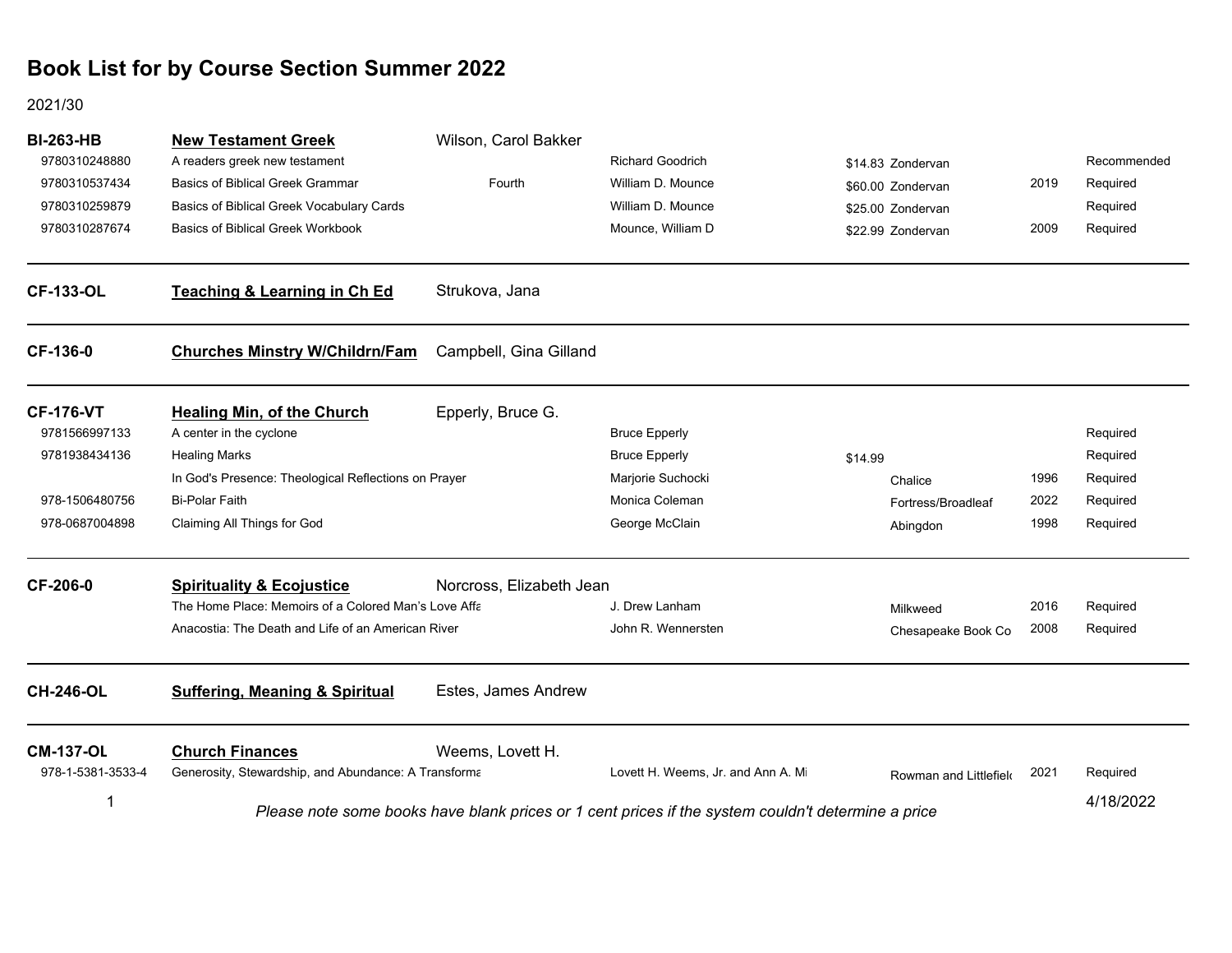#### 2021/30

| <b>BI-263-HB</b><br>9780310248880<br>9780310537434<br>9780310259879<br>9780310287674 | <b>New Testament Greek</b><br>A readers greek new testament<br><b>Basics of Biblical Greek Grammar</b><br>Basics of Biblical Greek Vocabulary Cards<br><b>Basics of Biblical Greek Workbook</b> | Wilson, Carol Bakker<br>Fourth | <b>Richard Goodrich</b><br>William D. Mounce<br>William D. Mounce<br>Mounce, William D             |         | \$14.83 Zondervan<br>\$60.00 Zondervan<br>\$25.00 Zondervan<br>\$22.99 Zondervan | 2019<br>2009 | Recommended<br>Required<br>Required<br>Required |
|--------------------------------------------------------------------------------------|-------------------------------------------------------------------------------------------------------------------------------------------------------------------------------------------------|--------------------------------|----------------------------------------------------------------------------------------------------|---------|----------------------------------------------------------------------------------|--------------|-------------------------------------------------|
| <b>CF-133-OL</b>                                                                     | <b>Teaching &amp; Learning in Ch Ed</b>                                                                                                                                                         | Strukova, Jana                 |                                                                                                    |         |                                                                                  |              |                                                 |
| CF-136-0                                                                             | <b>Churches Minstry W/Childrn/Fam</b>                                                                                                                                                           | Campbell, Gina Gilland         |                                                                                                    |         |                                                                                  |              |                                                 |
| <b>CF-176-VT</b><br>9781566997133<br>9781938434136                                   | <b>Healing Min, of the Church</b><br>A center in the cyclone<br><b>Healing Marks</b><br>In God's Presence: Theological Reflections on Prayer                                                    | Epperly, Bruce G.              | <b>Bruce Epperly</b><br><b>Bruce Epperly</b><br>Marjorie Suchocki                                  | \$14.99 | Chalice                                                                          | 1996         | Required<br>Required<br>Required                |
| 978-1506480756<br>978-0687004898                                                     | <b>Bi-Polar Faith</b><br>Claiming All Things for God                                                                                                                                            |                                | Monica Coleman<br>George McClain                                                                   |         | Fortress/Broadleaf<br>Abingdon                                                   | 2022<br>1998 | Required<br>Required                            |
| CF-206-0                                                                             | <b>Spirituality &amp; Ecojustice</b><br>The Home Place: Memoirs of a Colored Man's Love Affa<br>Anacostia: The Death and Life of an American River                                              | Norcross, Elizabeth Jean       | J. Drew Lanham<br>John R. Wennersten                                                               |         | Milkweed<br>Chesapeake Book Co                                                   | 2016<br>2008 | Required<br>Required                            |
| <b>CH-246-OL</b>                                                                     | <b>Suffering, Meaning &amp; Spiritual</b>                                                                                                                                                       | Estes, James Andrew            |                                                                                                    |         |                                                                                  |              |                                                 |
| <b>CM-137-OL</b><br>978-1-5381-3533-4                                                | <b>Church Finances</b><br>Generosity, Stewardship, and Abundance: A Transforma                                                                                                                  | Weems, Lovett H.               | Lovett H. Weems, Jr. and Ann A. Mi                                                                 |         | Rowman and Littlefield                                                           | 2021         | Required<br>4/18/2022                           |
|                                                                                      |                                                                                                                                                                                                 |                                | Please note some books have blank prices or 1 cent prices if the system couldn't determine a price |         |                                                                                  |              |                                                 |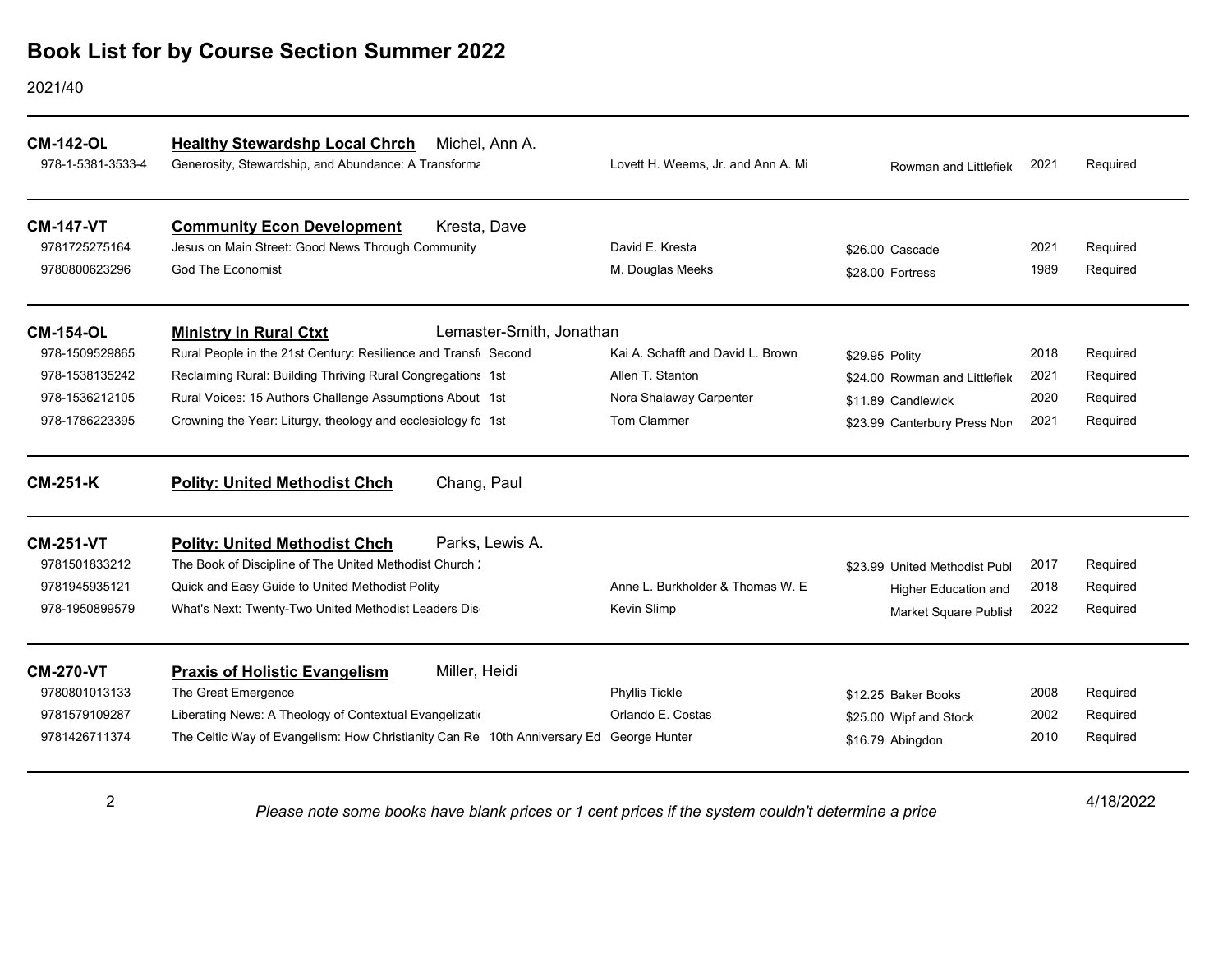#### 2021/40

| <b>CM-142-OL</b><br>978-1-5381-3533-4 | <b>Healthy Stewardshp Local Chrch</b><br>Michel, Ann A.<br>Generosity, Stewardship, and Abundance: A Transforma | Lovett H. Weems, Jr. and Ann A. Mi | Rowman and Littlefield         | 2021 | Required  |
|---------------------------------------|-----------------------------------------------------------------------------------------------------------------|------------------------------------|--------------------------------|------|-----------|
| <b>CM-147-VT</b>                      | <b>Community Econ Development</b><br>Kresta, Dave                                                               |                                    |                                |      |           |
| 9781725275164                         | Jesus on Main Street: Good News Through Community                                                               | David E. Kresta                    | \$26.00 Cascade                | 2021 | Required  |
| 9780800623296                         | <b>God The Economist</b>                                                                                        | M. Douglas Meeks                   | \$28.00 Fortress               | 1989 | Required  |
| <b>CM-154-OL</b>                      | Lemaster-Smith, Jonathan<br><b>Ministry in Rural Ctxt</b>                                                       |                                    |                                |      |           |
| 978-1509529865                        | Rural People in the 21st Century: Resilience and Transfi Second                                                 | Kai A. Schafft and David L. Brown  | \$29.95 Polity                 | 2018 | Required  |
| 978-1538135242                        | Reclaiming Rural: Building Thriving Rural Congregations 1st                                                     | Allen T. Stanton                   | \$24.00 Rowman and Littlefield | 2021 | Required  |
| 978-1536212105                        | Rural Voices: 15 Authors Challenge Assumptions About 1st                                                        | Nora Shalaway Carpenter            | \$11.89 Candlewick             | 2020 | Required  |
| 978-1786223395                        | Crowning the Year: Liturgy, theology and ecclesiology fo 1st                                                    | Tom Clammer                        | \$23.99 Canterbury Press Non   | 2021 | Required  |
| <b>CM-251-K</b>                       | Chang, Paul<br><b>Polity: United Methodist Chch</b>                                                             |                                    |                                |      |           |
| <b>CM-251-VT</b>                      | Parks, Lewis A.<br><b>Polity: United Methodist Chch</b>                                                         |                                    |                                |      |           |
| 9781501833212                         | The Book of Discipline of The United Methodist Church:                                                          |                                    | \$23.99 United Methodist Publ  | 2017 | Required  |
| 9781945935121                         | Quick and Easy Guide to United Methodist Polity                                                                 | Anne L. Burkholder & Thomas W. E.  | <b>Higher Education and</b>    | 2018 | Required  |
| 978-1950899579                        | What's Next: Twenty-Two United Methodist Leaders Dis-                                                           | Kevin Slimp                        | Market Square Publish          | 2022 | Required  |
| <b>CM-270-VT</b>                      | Miller, Heidi<br><b>Praxis of Holistic Evangelism</b>                                                           |                                    |                                |      |           |
| 9780801013133                         | The Great Emergence                                                                                             | Phyllis Tickle                     | \$12.25 Baker Books            | 2008 | Required  |
| 9781579109287                         | Liberating News: A Theology of Contextual Evangelization                                                        | Orlando E. Costas                  | \$25.00 Wipf and Stock         | 2002 | Required  |
| 9781426711374                         | The Celtic Way of Evangelism: How Christianity Can Re 10th Anniversary Ed George Hunter                         |                                    | \$16.79 Abingdon               | 2010 | Required  |
| $\overline{2}$                        | Please note some books have blank prices or 1 cent prices if the system couldn't determine a price              |                                    |                                |      | 4/18/2022 |

4/18/2022 *Please note some books have blank prices or 1 cent prices if the system couldn't determine a price*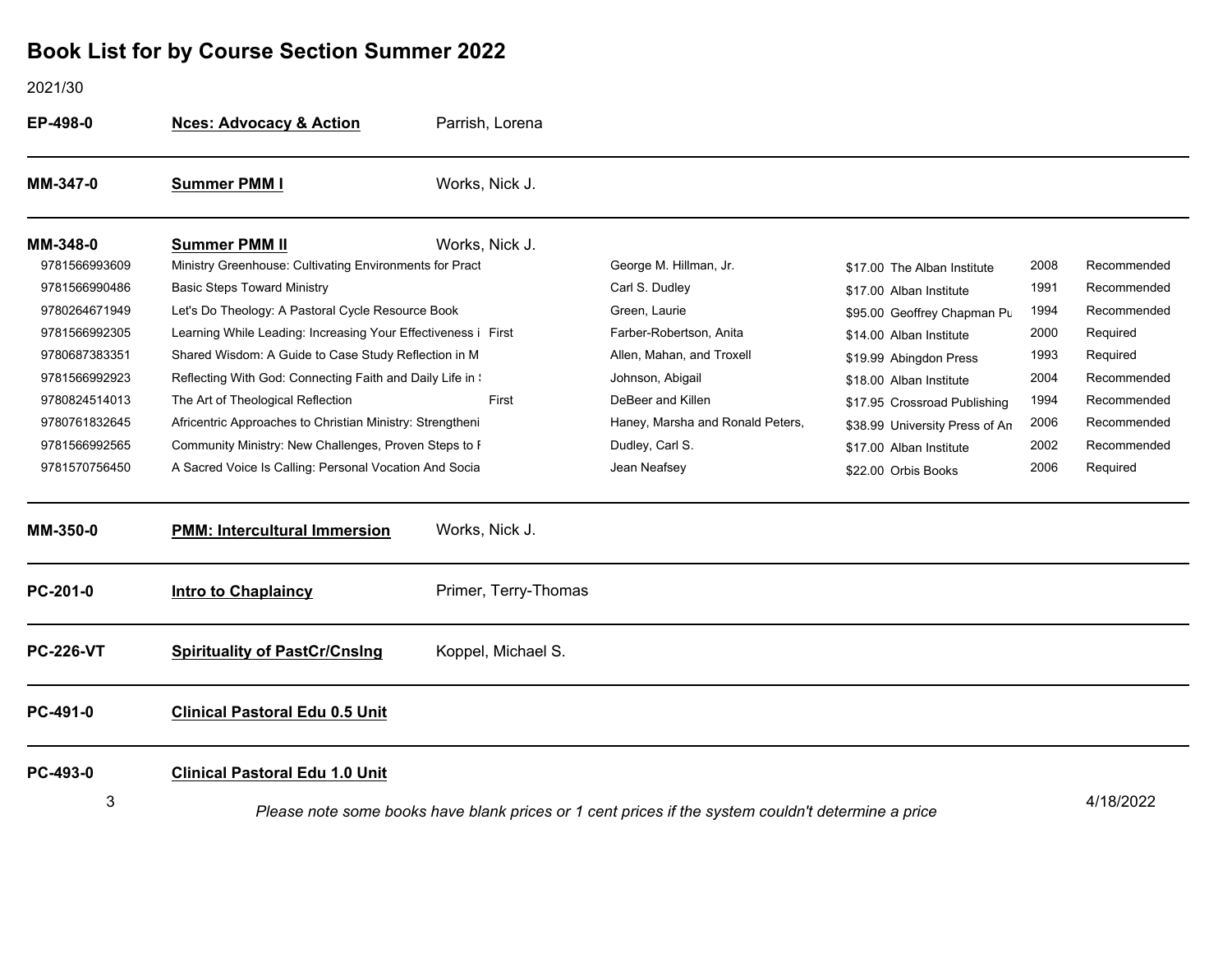2021/30

| EP-498-0         | <b>Nces: Advocacy &amp; Action</b>                            | Parrish, Lorena                                                                                                 |                                  |                                |      |             |
|------------------|---------------------------------------------------------------|-----------------------------------------------------------------------------------------------------------------|----------------------------------|--------------------------------|------|-------------|
| MM-347-0         | <b>Summer PMM I</b>                                           | Works, Nick J.                                                                                                  |                                  |                                |      |             |
| MM-348-0         | <b>Summer PMM II</b>                                          | Works, Nick J.                                                                                                  |                                  |                                |      |             |
| 9781566993609    | Ministry Greenhouse: Cultivating Environments for Pract       |                                                                                                                 | George M. Hillman, Jr.           | \$17.00 The Alban Institute    | 2008 | Recommended |
| 9781566990486    | <b>Basic Steps Toward Ministry</b>                            |                                                                                                                 | Carl S. Dudley                   | \$17.00 Alban Institute        | 1991 | Recommended |
| 9780264671949    | Let's Do Theology: A Pastoral Cycle Resource Book             |                                                                                                                 | Green, Laurie                    | \$95.00 Geoffrey Chapman Pu    | 1994 | Recommended |
| 9781566992305    | Learning While Leading: Increasing Your Effectiveness i First |                                                                                                                 | Farber-Robertson, Anita          | \$14.00 Alban Institute        | 2000 | Required    |
| 9780687383351    | Shared Wisdom: A Guide to Case Study Reflection in M          |                                                                                                                 | Allen, Mahan, and Troxell        | \$19.99 Abingdon Press         | 1993 | Required    |
| 9781566992923    | Reflecting With God: Connecting Faith and Daily Life in :     |                                                                                                                 | Johnson, Abigail                 | \$18.00 Alban Institute        | 2004 | Recommended |
| 9780824514013    | The Art of Theological Reflection                             | First                                                                                                           | DeBeer and Killen                | \$17.95 Crossroad Publishing   | 1994 | Recommended |
| 9780761832645    | Africentric Approaches to Christian Ministry: Strengtheni     |                                                                                                                 | Haney, Marsha and Ronald Peters, | \$38.99 University Press of An | 2006 | Recommended |
| 9781566992565    | Community Ministry: New Challenges, Proven Steps to F         |                                                                                                                 | Dudley, Carl S.                  | \$17.00 Alban Institute        | 2002 | Recommended |
| 9781570756450    | A Sacred Voice Is Calling: Personal Vocation And Socia        |                                                                                                                 | Jean Neafsey                     | \$22.00 Orbis Books            | 2006 | Required    |
| MM-350-0         | <b>PMM: Intercultural Immersion</b>                           | Works, Nick J.                                                                                                  |                                  |                                |      |             |
| PC-201-0         | <b>Intro to Chaplaincy</b>                                    | Primer, Terry-Thomas                                                                                            |                                  |                                |      |             |
| <b>PC-226-VT</b> | <b>Spirituality of PastCr/Cnslng</b>                          | Koppel, Michael S.                                                                                              |                                  |                                |      |             |
| PC-491-0         | <b>Clinical Pastoral Edu 0.5 Unit</b>                         |                                                                                                                 |                                  |                                |      |             |
| PC-493-0         | <b>Clinical Pastoral Edu 1.0 Unit</b>                         |                                                                                                                 |                                  |                                |      |             |
| 3                |                                                               | 4/18/2022<br>Please note some books have blank prices or 1 cent prices if the system couldn't determine a price |                                  |                                |      |             |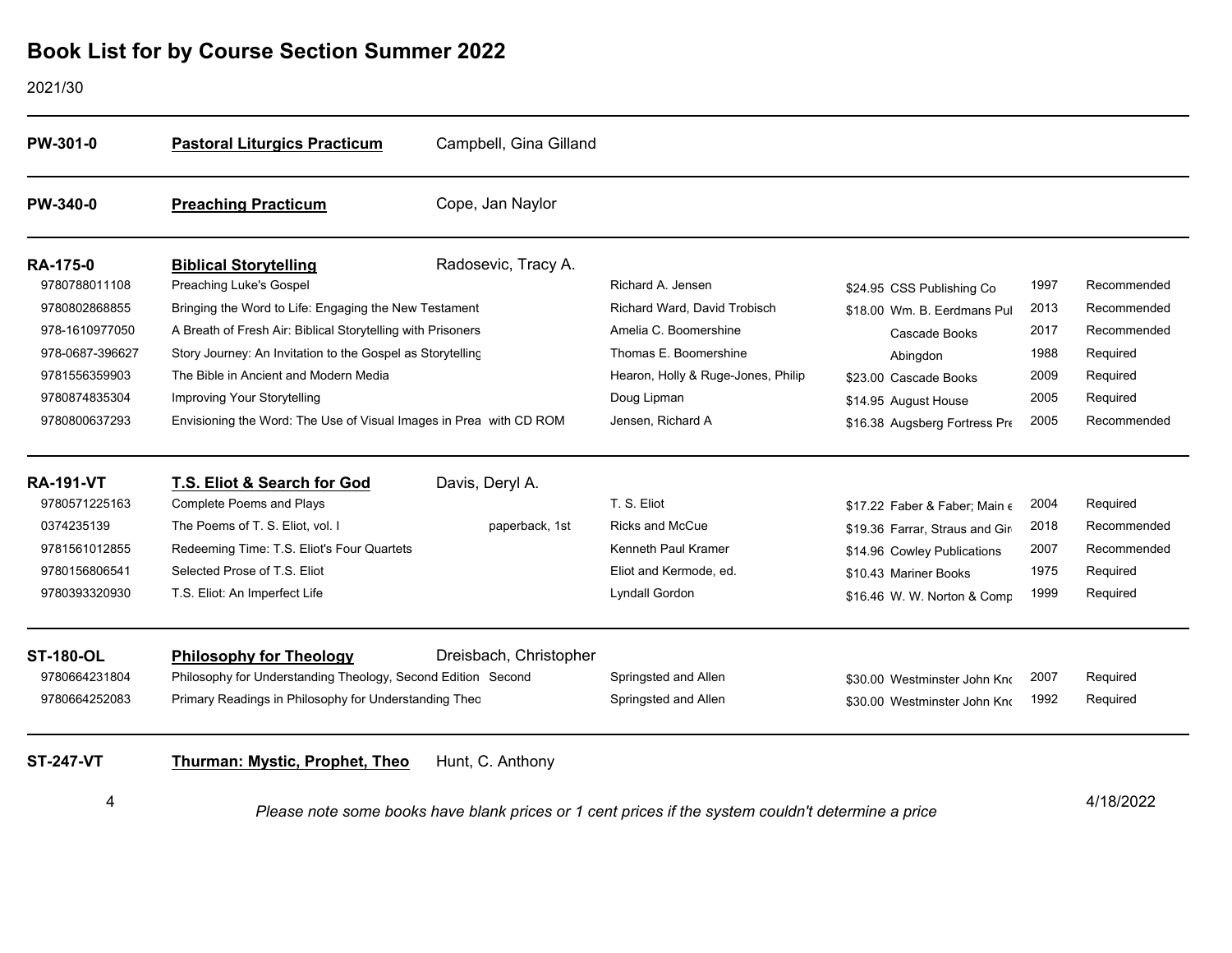#### 2021/30

| PW-301-0                         | <b>Pastoral Liturgics Practicum</b>                                                                                  | Campbell, Gina Gilland |                                                   |                                        |              |                            |
|----------------------------------|----------------------------------------------------------------------------------------------------------------------|------------------------|---------------------------------------------------|----------------------------------------|--------------|----------------------------|
| <b>PW-340-0</b>                  | <b>Preaching Practicum</b>                                                                                           | Cope, Jan Naylor       |                                                   |                                        |              |                            |
| <b>RA-175-0</b><br>9780788011108 | <b>Biblical Storytelling</b>                                                                                         | Radosevic, Tracy A.    |                                                   |                                        |              |                            |
| 9780802868855                    | Preaching Luke's Gospel                                                                                              |                        | Richard A. Jensen<br>Richard Ward, David Trobisch | \$24.95 CSS Publishing Co              | 1997<br>2013 | Recommended<br>Recommended |
| 978-1610977050                   | Bringing the Word to Life: Engaging the New Testament<br>A Breath of Fresh Air: Biblical Storytelling with Prisoners |                        | Amelia C. Boomershine                             | \$18.00 Wm. B. Eerdmans Pul            | 2017         | Recommended                |
| 978-0687-396627                  | Story Journey: An Invitation to the Gospel as Storytelling                                                           |                        | Thomas E. Boomershine                             | Cascade Books                          | 1988         | Required                   |
| 9781556359903                    | The Bible in Ancient and Modern Media                                                                                |                        | Hearon, Holly & Ruge-Jones, Philip                | Abingdon<br>\$23.00 Cascade Books      | 2009         | Required                   |
| 9780874835304                    | <b>Improving Your Storytelling</b>                                                                                   |                        | Doug Lipman                                       | \$14.95 August House                   | 2005         | Required                   |
| 9780800637293                    | Envisioning the Word: The Use of Visual Images in Prea with CD ROM                                                   |                        | Jensen, Richard A                                 | \$16.38 Augsberg Fortress Pre          | 2005         | Recommended                |
| <b>RA-191-VT</b>                 | T.S. Eliot & Search for God                                                                                          | Davis, Deryl A.        |                                                   |                                        |              |                            |
| 9780571225163                    | <b>Complete Poems and Plays</b>                                                                                      |                        | T. S. Eliot                                       | \$17.22 Faber & Faber: Main $\epsilon$ | 2004         | Required                   |
| 0374235139                       | The Poems of T. S. Eliot, vol. I                                                                                     | paperback, 1st         | <b>Ricks and McCue</b>                            | \$19.36 Farrar, Straus and Gir         | 2018         | Recommended                |
| 9781561012855                    | Redeeming Time: T.S. Eliot's Four Quartets                                                                           |                        | Kenneth Paul Kramer                               | \$14.96 Cowley Publications            | 2007         | Recommended                |
| 9780156806541                    | Selected Prose of T.S. Eliot                                                                                         |                        | Eliot and Kermode, ed.                            | \$10.43 Mariner Books                  | 1975         | Required                   |
| 9780393320930                    | T.S. Eliot: An Imperfect Life                                                                                        |                        | Lyndall Gordon                                    | \$16.46 W. W. Norton & Comp            | 1999         | Required                   |
| <b>ST-180-OL</b>                 | <b>Philosophy for Theology</b>                                                                                       | Dreisbach, Christopher |                                                   |                                        |              |                            |
| 9780664231804                    | Philosophy for Understanding Theology, Second Edition Second                                                         |                        | Springsted and Allen                              | \$30.00 Westminster John Kno           | 2007         | Required                   |
| 9780664252083                    | Primary Readings in Philosophy for Understanding Theo                                                                |                        | Springsted and Allen                              | \$30.00 Westminster John Kno           | 1992         | Required                   |
| <b>ST-247-VT</b>                 | <b>Thurman: Mystic, Prophet, Theo</b>                                                                                | Hunt, C. Anthony       |                                                   |                                        |              |                            |
| 4                                | Please note some books have blank prices or 1 cent prices if the system couldn't determine a price                   |                        |                                                   |                                        | 4/18/2022    |                            |